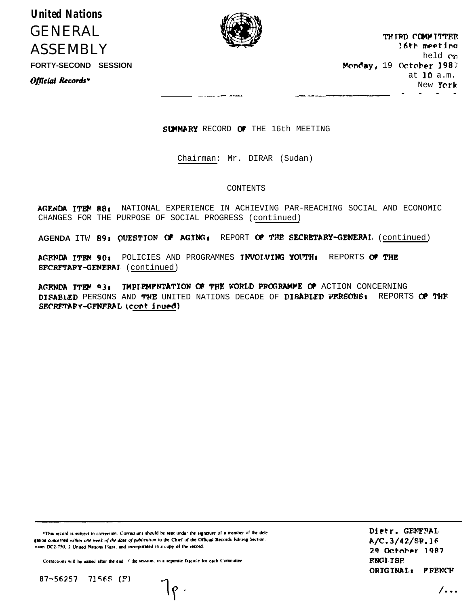*United Nations* GENERAL ASSEMBLY **FORTY-SECOND SESSION** Official Records\*



THIRD COMMITTEE !6th meetino held cn Monday, 19 October 1987 at 10 a.m. New York -.-\_ - - \_-~-~~ ----

SUMMARY RECORD OF THE 16th MEETING

Chairman: Mr. DIRAR (Sudan)

#### CONTENTS

AGENDA ITEM 88: NATIONAL EXPERIENCE IN ACHIEVING PAR-REACHING SOCIAL AND ECONOMIC CHANGES FOR THE PURPOSE OF SOCIAL PROGRESS (continued)

AGENDA ITW 89: QUESTION OF AGING<sub>I</sub> REPORT OF THE SECRETARY-GENERAL (continued)

AGENDA ITEM 90: POLICIES AND PROGRAMMES INVOIVING YOUTH: REPORTS OF THE SFCRFTARY-GENERAL (continued)

AGENDA JTEM 93: IMPIEMFNTATION OF THE WORLD PROGRAMME OF ACTION CONCERNING DISABLED PERSONS AND THE UNITED NATIONS DECADE OF DISABLED PFRSONS: REPORTS OF THE SECRETARY-GENFRAL (cont inued)

\*This record is subject to correction. Corrections should be sent under the signiture of a member of the delegation concerned within one week of the date of publication to the Chief of the Official Records Editing Section. room DC2-750, 2 United Nations Plaze, and incorporated in a copy of the record

Corrections will be issued after the end -f the seasion, in a separate fascicle for each Committee

 $87 - 56257$  71565 (F)

Distr. GENEPAL A/C.3/42/SR.16 29 October 1987 **ENGL TSP** ORIGINAL: FRENCH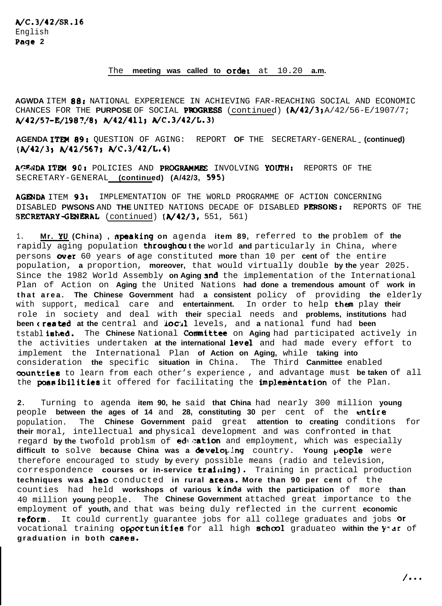### The **meeting was called to** order at 10.20 **a.m.**

**AGWDA** ITEM 888 NATIONAL EXPERIENCE IN ACHIEVING FAR-REACHING SOCIAL AND ECONOMIC CHANCES FOR THE **PURPOSE** OF SOCIAL PmRESS (continued) **(A/42/3,** A/42/56-E/1907/7; w/42/57-E/190?,/0, A/42/411, A/C.3/42/L.3)

AGENDA ITEM 89: QUESTION OF AGING: REPORT OF THE SECRETARY-GENERAL (continued) **(q/42/3) A/42/5671** A/C.3/42/L.I)

AGENDA ITEM 90: POLICIES AND PROGRAMMES INVOLVING YOUTH: REPORTS OF THE SECRETARY-GENERAL **(continued) (A/42/3, 595)**

AGENDA ITEM 93: IMPLEMENTATION OF THE WORLD PROGRAMME OF ACTION CONCERNING DISABLED PWSONS AND THE UNITED NATIONS DECADE OF DISABLED PERSONS: REPORTS OF THE SECRETARY-GENERAL (continued)  $(A/42/3, 551, 561)$ 

1. **Mr. YU (China) , opeaking on** agenda **item 89,** referred to **the** problem of **the** rapidly aging population **throughcu t the** world **and** particularly in China, where persons over 60 years **of** age constituted **more** than 10 per **cent** of the entire population, **a** proportion, **moreover,** that would virtually double **by the** year 2025. Since the 1982 World Assembly **on Aging** and the implementation of the International Plan of Action on **Aging** the United Nations **had done a tremendous amount** of **work in that area. The Chinese Government** had **a consistent** policy of providing **the** elderly with support, medical care and **entertainment.** In order to help them play **their** role in society and deal with **their** special needs and **problems, institutions** had **been** created **at the** central and locll levels, and **a** national fund had **been** tstabl ished. The **Chinese** National Committee on **Aging** had participated actively in the activities undertaken **at the international** level and had made every effort to implement the International Plan **of Action on Aging,** while **taking into** consideration **the** specific **situation in** China. The Third **Canmittee** enabled countries to learn from each other's experience, and advantage must be taken of all the **possibilities** it offered for facilitating the implementation of the Plan.

**2.** Turning to agenda **item 90, he** said **that China** had nearly 300 million **young** people **between the ages of 14** and **28, constituting 30** per cent of the entire population. The **Chinese Government** paid great **attention to creating** conditions for **their** moral, intellectual **and** physical development and was confronted **in** that regard by the twofold problsm of education and employment, which was especially difficult to solve because China was a developing country. Young people were therefore encouraged to study **by** every possible means (radio and television, correspondence **courses or in-service traidng).** Training in practical production **techniques was also** conducted **in rural areifs. More than 90 per cent** of the counties had held **workshops of various kinda with the participation** of more **than** 40 million **young** people. The **Chinese Government** attached great importance to the employment of **youth,** and that was being duly reflected in the current **economic** reform. It could currently guarantee jobs for all college graduates and jobs or vocational training **opportunities** for all high school graduateo within the y<sup>-</sup>ar of **graduation in both cases.**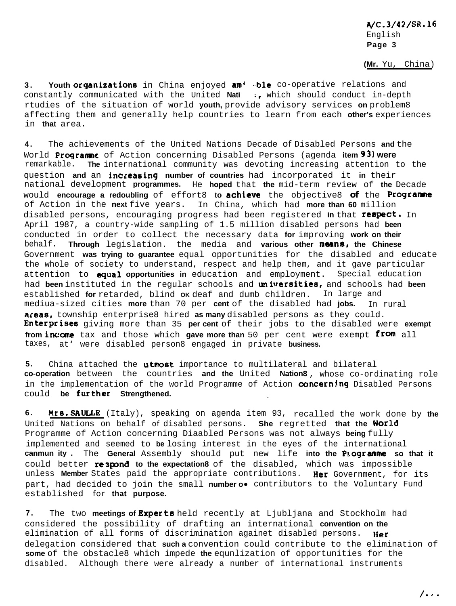**A/C.3/42/SH.16** English **Page 3**

**(Mr.** Yu, China)

**3.** Youth organizations in China enjoyed am<sup>1</sup> \*ble co-operative relations and constantly communicated with the United **Nati** :, which should conduct in-depth rtudies of the situation of world **youth,** provide advisory services **on** problem8 affecting them and generally help countries to learn from each **other's** experiences in **that** area.

**4 .** The achievements of the United Nations Decade of Disabled Persons **and** the World Programnc of Action concerning Disabled Persons (agenda **item 93) were** remarkable. **The** international community was devoting increasing attention to the question **and** an increasing **number of countries** had incorporated it **in** their national development **programmes.** He **hoped** that **the** mid-term review of **the** Decade would encourage a redoubling of effort8 to achieve the objective8 of the Programme of Action in the **next** five years. In China, which had **more than 60** million disabled persons, encouraging progress had been registered **in** that raspact. In April 1987, a country-wide sampling of 1.5 million disabled persons had **been** conducted in order to collect the necessary data **for** improving **work on their** behalf. **Through** legislation. the media and **various other means, the Chinese** Government **was trying to guarantee** equal opportunities for the disabled and educate the whole of society to understand, respect and help them, and it gave particular attention to **equal opportunities in** education and employment. Special education had **been** instituted in the regular schools and univereitiea, and schools had **been** established **for** retarded, blind **OK** deaf and dumb children. In large and mediua-sized cities **more** than 70 per **cent** of the disabled had **jobs.** In rural aceas, township enterprise8 hired **as many** disabled persons as they could. Enterprises giving more than 35 per cent of their jobs to the disabled were exempt **from** incane tax and those which **gave more than** 50 per cent were exempt from all taxes, at' were disabled person8 engaged in private **business.**

**5.** China attached the utmost importance to multilateral and bilateral **co-operation** between the countries **and the** United **Nation8** , whose co-ordinating role in the implementation of the world Programme of Action **concerning** Disabled Persons could **be** further **Strengthened. .**

**6 . MKS.** SAULLE (Italy), speaking on agenda item 93, recalled the work done by **the** United Nations on behalf of disabled persons. **She** regretted **that the World** Programme of Action concerning Diaabled Persons was not always **being** fully implemented and seemed to **be** losing interest in the eyes of the international **canmun ity .** The **General** Assembly should put new life **into the** Programme **so that it** could better re3pand **to the expectation8** of the disabled, which was impossible unless **Member** States paid the appropriate contributions. Her Government, for its part, had decided to join the small **number o**l contributors to the Voluntary Fund established for **that purpose.**

**7 .** The two **meetings of Experts** held recently at Ljubljana and Stockholm had considered the possibility of drafting an international **convention on the** elimination of all forms of discrimination againet disabled persons. **Her** delegation considered that **such a** convention could contribute to the elimination of **some** of the obstacle8 which impede **the** equnlization of opportunities for the disabled. Although there were already a number of international instruments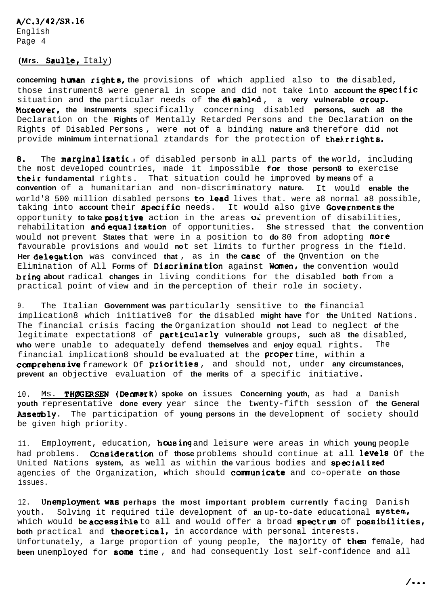q/C.3/42/SR.16 English Page 4

## **(Mrs.** Saulle, Italy)

**concerning** hunan **rights, the** provisions of which applied also to **the** disabled, those instrument8 were general in scope and did not take into **account the** Specific situation and the particular needs of the disabled, a very vulnerable group. MoKeOVeK, **the instruments** specifically concerning disabled **persons, such a8 the** Declaration on the **Rights** of Mentally Retarded Persons and the Declaration **on the** Rights of Disabled Persons , were **not** of a binding **nature an3** therefore did **not** provide **minimum** international ztandards for the protection of **their** rights.

8. The **marginalizatic**. of disabled personb in all parts of the world, including the most developed countries, made it impossible fOK **those person8 to** exercise **their fundamental** rights. That situation could he improved **by means** of a **convention** of a humanitarian and non-discriminatory **nature.** It would **enable the** world'8 500 million disabled persons to lead lives that. were a8 normal a8 possible, taking into **account** their **specific** needs. It would also give Governments the opportunity **to take positive** action in the areas  $o_i$  prevention of disabilities, rehabilitation **an6** equalization of opportunities. **She** stressed that **the** convention would **not** prevent **States** that were in a position to **do** 80 from adopting **more** favourable provisions and would **no**t set limits to further progress in the field. **Her** delegat.ion was convinced **that** , as in **the** case of **the** Qnvention **on** the Elimination of All **Forms** of **Discrimination** against **Women, the** convention would **bring about** radical **changes** in living conditions for the disabled **both** from a practical point of view and in **the** perception of their role in society.

9. The Italian **Government was** particularly sensitive to **the** financial implication8 which initiative8 for **the** disabled **might have** for **the** United Nations. The financial crisis facing **the** Organization should **not** lead to neglect **of** the legitimate expectation8 of **particularly vulnerable** groups, such a8 the disabled, **who** were unable to adequately defend **themselves** and **enjoy** equal rights. The financial implication8 should be evaluated at the **proper**time, within a comprehensive framework Of priorities, and should not, under any circumstances, **prevent an** objective evaluation of **the merits** of a specific initiative.

10. Ms. THWERSEN **(DPMI8Kk) spoke on** issues **Concerning youth,** as had a Danish **youth** representative **done every** year since the twenty-fifth session of **the General** Assembly. The participation of young persons in the development of society should be given high priority.

11. Employment, education, **hOUSing** and leisure were areas in which **young** people had problems. Ccneidecation of **those** problems should continue at all level8 Of the United Nations **system,** as well as within **the** various bodies and specialized agencies of the Organization, which should communicate and co-operate **on those** issues.

12. **Unemployment was perhaps the most important problem currently** facing Danish youth. Solving it required tile development of an up-to-date educational system, which would be accessible to all and would offer a broad spectrum of possibilities, **both** practical and **theoretical,** in accordance with personal interests. Unfortunately, a large proportion of young people, the majority of them female, had been unemployed for some time, and had consequently lost self-confidence and all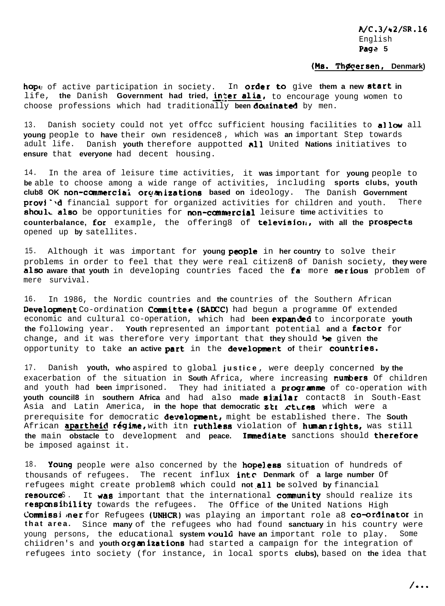A/C.3/42/SR.16 English **Page 5** 

## (Ms. Thøgersen, Denmark)

hope of active participation in society. In order to give them a new start in life, **the** Danish **Government had tried, inter alia,** -.- to encourage young women to choose professions which had traditionally **been** daninated by men.

13. Danish society could not yet offcc sufficient housing facilities to allow all **young** people to **have** their own residence8 , which was **an** important Step towards adult life. Danish **youth** therefore auppotted all United **Nations** initiatives to **ensure** that **everyone** had decent housing.

14. In the area of leisure time activities, it **was** important for **young** people to **be** able to choose among a wide range of activities, including **sports clubs, youth club8 OK** non-canmerciai orqnnizations **based on** ideology. The Danish **Government** provi<sup>'</sup>d financial support for organized activities for children and youth. There shoulc al80 be opportunities for non-ccznmrrcial leisure **time** activities to counterbalance, for example, the offering8 of television, with all the prospects opened up **by** satellites.

15. Although it was important for **young** people in **her country** to solve their problems in order to feel that they were real citizen8 of Danish society, **they were also aware that youth** in developing countries faced the fa more serious problem of mere survival.

16. In 1986, the Nordic countries and **the** countries of the Southern African Development Co-ordination Committee (SADCC) had begun a programme Of extended economic and cultural co-operation, which had **been expande&** to incorporate **youth the** following year. **Youth** represented an important potential **and** a factor for change, and it was therefore very important that they should be given the opportunity to take an active part in the development of their countries.

17. Danish **youth, who** aspired to global **justice** , were deeply concerned **by the** exacerbation of the situation in **South** Africa, where increasing **numbers** Of children and youth had **been** imprisoned. They had initiated a **programme** of co-operation with **youth council8** in **southern Africa** and had also **made** eiaillar contact8 in South-East Asia and Latin America, in the hope that democratic **sti ctires** which were a prerequisite for democratic development, might be established there. The **South** African sartheid **rdgime,** with itn ruthleSS violation of **hunan** rights, was still **the** main **obstacle** to development and **peace.** Imediate sanctions should therefore be imposed against it.

18. Young people were also concerned by the hopeless situation of hundreds of thousands of refugees. The recent influx intc **Denmark** of **a large number** Of refugees might create problem8 which could **not** .a11 **be** solved **by** financial **resource**S. It was important that the international **community** should realize its responsibility towards the refugees. The Office of the United Nations High Commissi *ner* for Refugees (UNHCR) was playing an important role a8 co-ordinator in **that area.** Since **many** of the refugees who had found **sanctuary** in his country were young persons, the educational **system** vould **have an** important role to play. Some chiidren's and youth organizations had started a campaign for the integration of refugees into society (for instance, in local sports **clubs),** based on **the** idea that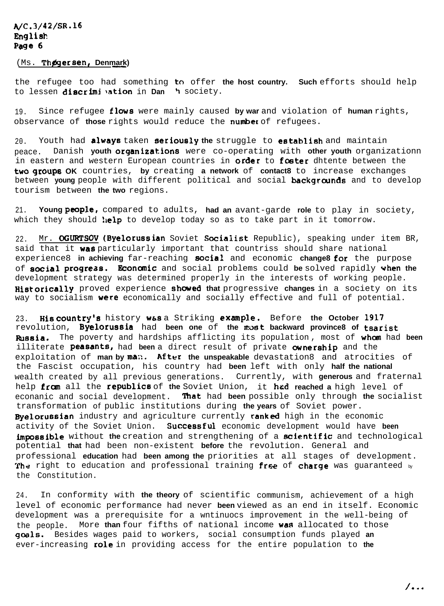# AJC.3/42/SR.16 English Page 6

### (Ms. Thøgersen, Denmark)

the refugee too had something to offer the host country. Such efforts should help to lessen di8CKimi lation in **Dan** h society.

19. Since refugee flow8 were mainly caused **by war** and violation of **human** rights, observance of **those** rights would reduce the **number** of refugees.

20. Youth had **always** taken seriously the struggle to establish and maintain peace. Danish **youth** organizations were co-operating with **other youth** organizationn in eastern and western European countries in order to foster dhtente between the **tW0 gKOllp8 OK** countries, **by** creating **a network** of **contact8** to increase exchanges between **young** people with different political and social backgraunds and to develop tourism between **the two** regions.

21. **Young** paople, compared to adults, **had an** avant-garde **role** to play in society, which they should  $\text{help}$  to develop today so as to take part in it tomorrow.

22. Mr. OGURTSOV (Byelorussian Soviet Socialist Republic), speaking under item BR, said that it **WaB** particularly important that countriss should share national experience8 **in achieving** far-reaching **social** and economic **change8 for** the purpose of Social **PKOgteaS.** Econazic and social problems could **be** solved rapidly when **the** development strategy was determined properly in the interests of working people. Hi8torically proved experience shcmed **that** progressive **changes** in a society on its way to socialism were economically and socially effective and full of potential.

23. **His country's** history was a Striking example. Before the October 1917 revolution, **Byelorussia** had been one of the most backward province8 of tsarist Russia. The poverty and hardships afflicting its population, most of whom had been illiterate peasants, had **been** a direct result of private ownership and the exploitation of **man by ma::.** After **the unspeakable** devastation8 and atrocities of the Fascist occupation, his country had **been** left with only **half the national** wealth created by all previous generations. Currently, with **generous** and fraternal help fran all the **KepUbliCS** of **the** Soviet Union, it had **reached a** high level of econanic and social development. That had been possible only through the socialist transformation of public institutions during **the years** of Soviet power. Byelorussian industry and agriculture currently ranked high in the economic activity of the Soviet Union. SucCeSSfUl economic development would have **been impossible** without the creation and strengthening of a scientific and technological potential **that** had been non-existent **before** the revolution. General and professional **education** had **been among the** priorities at all stages of development. The right to education and professional training free of charge was guaranteed  $\mathbf{w}$ the Constitution.

24. In conformity with **the theory** of scientific communism, achievement of a high level of economic performance had never **been** viewed as an end in itself. Economic development was a prerequisite for a wntinuocs improvement in the well-being of the people. More **than** four fifths of national income wa8 allocated to those **CJOdS.** Besides wages paid to workers, social consumption funds played **an** ever-increasing **KOle** in providing access for the entire population to **the**